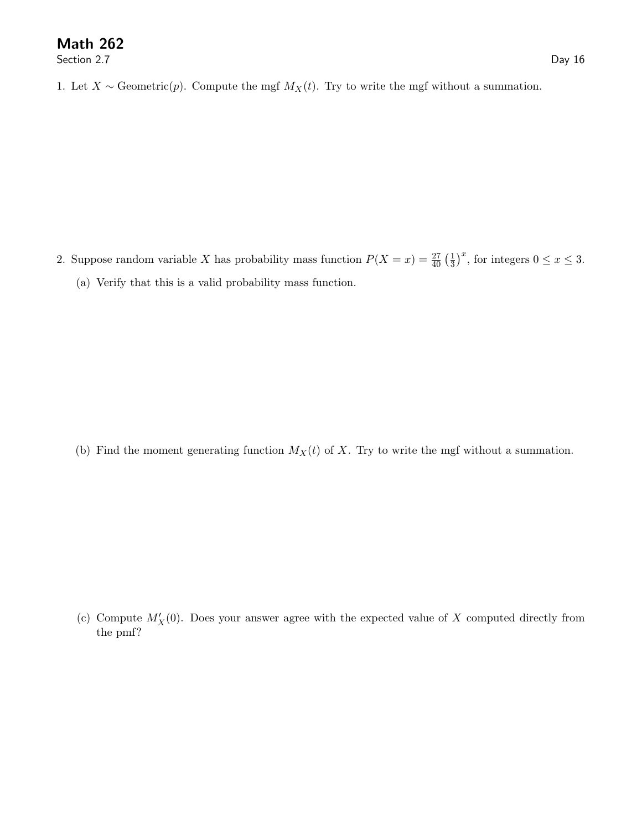Section 2.7 Day 16

1. Let  $X \sim$  Geometric(p). Compute the mgf  $M_X(t)$ . Try to write the mgf without a summation.

2. Suppose random variable X has probability mass function  $P(X = x) = \frac{27}{40} \left(\frac{1}{3}\right)^x$ , for integers  $0 \le x \le 3$ . (a) Verify that this is a valid probability mass function.

(b) Find the moment generating function  $M_X(t)$  of X. Try to write the mgf without a summation.

(c) Compute  $M'_{X}(0)$ . Does your answer agree with the expected value of X computed directly from the pmf?